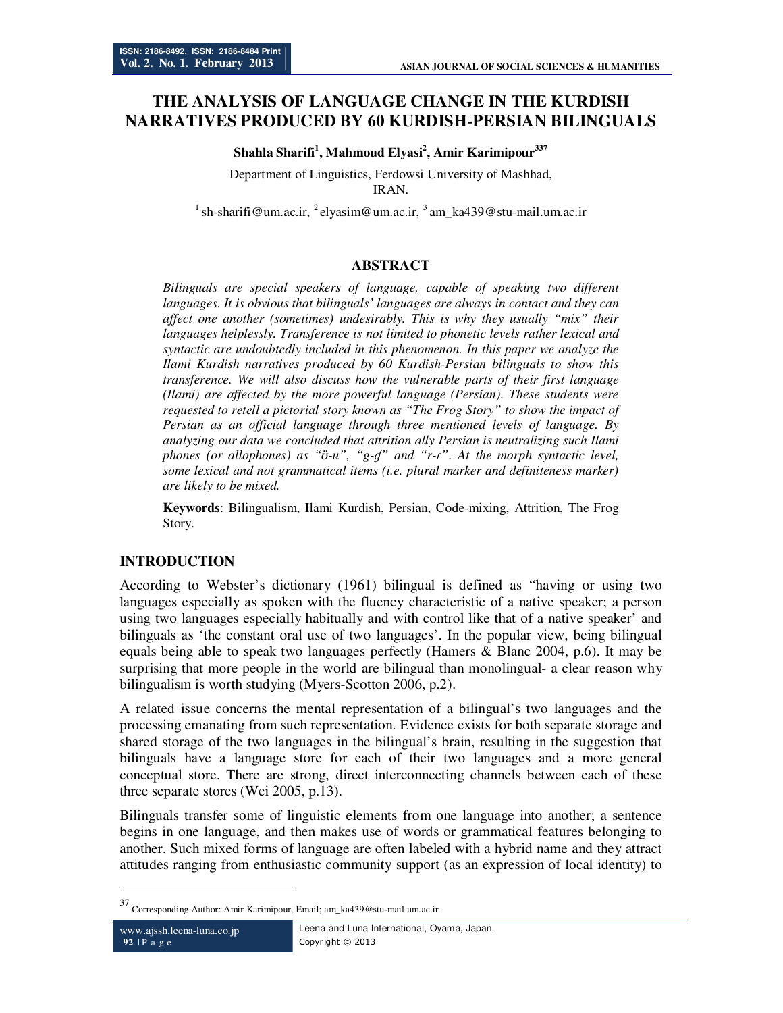# **THE ANALYSIS OF LANGUAGE CHANGE IN THE KURDISH NARRATIVES PRODUCED BY 60 KURDISH-PERSIAN BILINGUALS**

#### **Shahla Sharifi<sup>1</sup> , Mahmoud Elyasi<sup>2</sup> , Amir Karimipour<sup>337</sup>**

Department of Linguistics, Ferdowsi University of Mashhad, IRAN.

<sup>1</sup>sh-sharifi@um.ac.ir, <sup>2</sup>elyasim@um.ac.ir, <sup>3</sup> am\_ka439@stu-mail.um.ac.ir

### **ABSTRACT**

*Bilinguals are special speakers of language, capable of speaking two different languages. It is obvious that bilinguals' languages are always in contact and they can affect one another (sometimes) undesirably. This is why they usually "mix" their languages helplessly. Transference is not limited to phonetic levels rather lexical and syntactic are undoubtedly included in this phenomenon. In this paper we analyze the Ilami Kurdish narratives produced by 60 Kurdish-Persian bilinguals to show this transference. We will also discuss how the vulnerable parts of their first language (Ilami) are affected by the more powerful language (Persian). These students were requested to retell a pictorial story known as "The Frog Story" to show the impact of Persian as an official language through three mentioned levels of language. By analyzing our data we concluded that attrition ally Persian is neutralizing such Ilami phones (or allophones) as "ʊ̈-u", "g-ɠ" and "r-ɾ". At the morph syntactic level, some lexical and not grammatical items (i.e. plural marker and definiteness marker) are likely to be mixed.* 

**Keywords**: Bilingualism, Ilami Kurdish, Persian, Code-mixing, Attrition, The Frog Story.

### **INTRODUCTION**

According to Webster's dictionary (1961) bilingual is defined as "having or using two languages especially as spoken with the fluency characteristic of a native speaker; a person using two languages especially habitually and with control like that of a native speaker' and bilinguals as 'the constant oral use of two languages'. In the popular view, being bilingual equals being able to speak two languages perfectly (Hamers & Blanc 2004, p.6). It may be surprising that more people in the world are bilingual than monolingual- a clear reason why bilingualism is worth studying (Myers-Scotton 2006, p.2).

A related issue concerns the mental representation of a bilingual's two languages and the processing emanating from such representation. Evidence exists for both separate storage and shared storage of the two languages in the bilingual's brain, resulting in the suggestion that bilinguals have a language store for each of their two languages and a more general conceptual store. There are strong, direct interconnecting channels between each of these three separate stores (Wei 2005, p.13).

Bilinguals transfer some of linguistic elements from one language into another; a sentence begins in one language, and then makes use of words or grammatical features belonging to another. Such mixed forms of language are often labeled with a hybrid name and they attract attitudes ranging from enthusiastic community support (as an expression of local identity) to

-

<sup>37</sup> Corresponding Author: Amir Karimipour, Email; am\_ka439@stu-mail.um.ac.ir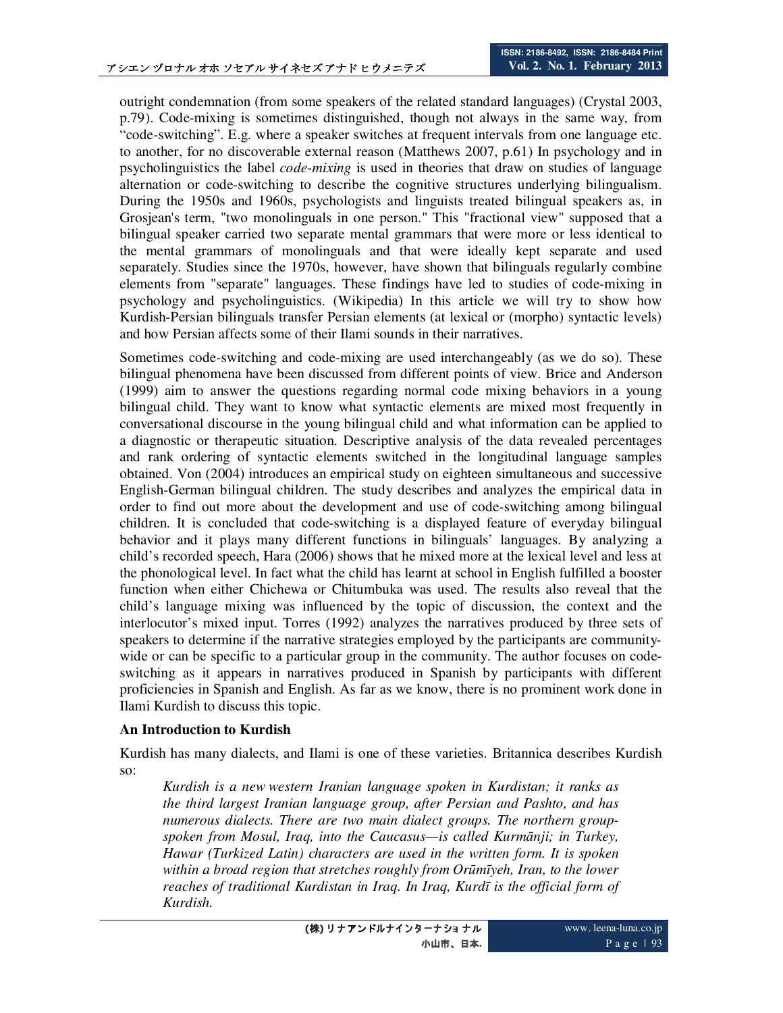outright condemnation (from some speakers of the related standard languages) (Crystal 2003, p.79). Code-mixing is sometimes distinguished, though not always in the same way, from "code-switching". E.g. where a speaker switches at frequent intervals from one language etc. to another, for no discoverable external reason (Matthews 2007, p.61) In psychology and in psycholinguistics the label *code-mixing* is used in theories that draw on studies of language alternation or code-switching to describe the cognitive structures underlying bilingualism. During the 1950s and 1960s, psychologists and linguists treated bilingual speakers as, in Grosjean's term, "two monolinguals in one person." This "fractional view" supposed that a bilingual speaker carried two separate mental grammars that were more or less identical to the mental grammars of monolinguals and that were ideally kept separate and used separately. Studies since the 1970s, however, have shown that bilinguals regularly combine elements from "separate" languages. These findings have led to studies of code-mixing in psychology and psycholinguistics. (Wikipedia) In this article we will try to show how Kurdish-Persian bilinguals transfer Persian elements (at lexical or (morpho) syntactic levels) and how Persian affects some of their Ilami sounds in their narratives.

Sometimes code-switching and code-mixing are used interchangeably (as we do so). These bilingual phenomena have been discussed from different points of view. Brice and Anderson (1999) aim to answer the questions regarding normal code mixing behaviors in a young bilingual child. They want to know what syntactic elements are mixed most frequently in conversational discourse in the young bilingual child and what information can be applied to a diagnostic or therapeutic situation. Descriptive analysis of the data revealed percentages and rank ordering of syntactic elements switched in the longitudinal language samples obtained. Von (2004) introduces an empirical study on eighteen simultaneous and successive English-German bilingual children. The study describes and analyzes the empirical data in order to find out more about the development and use of code-switching among bilingual children. It is concluded that code-switching is a displayed feature of everyday bilingual behavior and it plays many different functions in bilinguals' languages. By analyzing a child's recorded speech, Hara (2006) shows that he mixed more at the lexical level and less at the phonological level. In fact what the child has learnt at school in English fulfilled a booster function when either Chichewa or Chitumbuka was used. The results also reveal that the child's language mixing was influenced by the topic of discussion, the context and the interlocutor's mixed input. Torres (1992) analyzes the narratives produced by three sets of speakers to determine if the narrative strategies employed by the participants are communitywide or can be specific to a particular group in the community. The author focuses on codeswitching as it appears in narratives produced in Spanish by participants with different proficiencies in Spanish and English. As far as we know, there is no prominent work done in Ilami Kurdish to discuss this topic.

### **An Introduction to Kurdish**

Kurdish has many dialects, and Ilami is one of these varieties. Britannica describes Kurdish so:

*Kurdish is a new western Iranian language spoken in Kurdistan; it ranks as the third largest Iranian language group, after Persian and Pashto, and has numerous dialects. There are two main dialect groups. The northern groupspoken from Mosul, Iraq, into the Caucasus—is called Kurmānji; in Turkey, Hawar (Turkized Latin) characters are used in the written form. It is spoken within a broad region that stretches roughly from Orūmīyeh, Iran, to the lower reaches of traditional Kurdistan in Iraq. In Iraq, Kurdī is the official form of Kurdish.*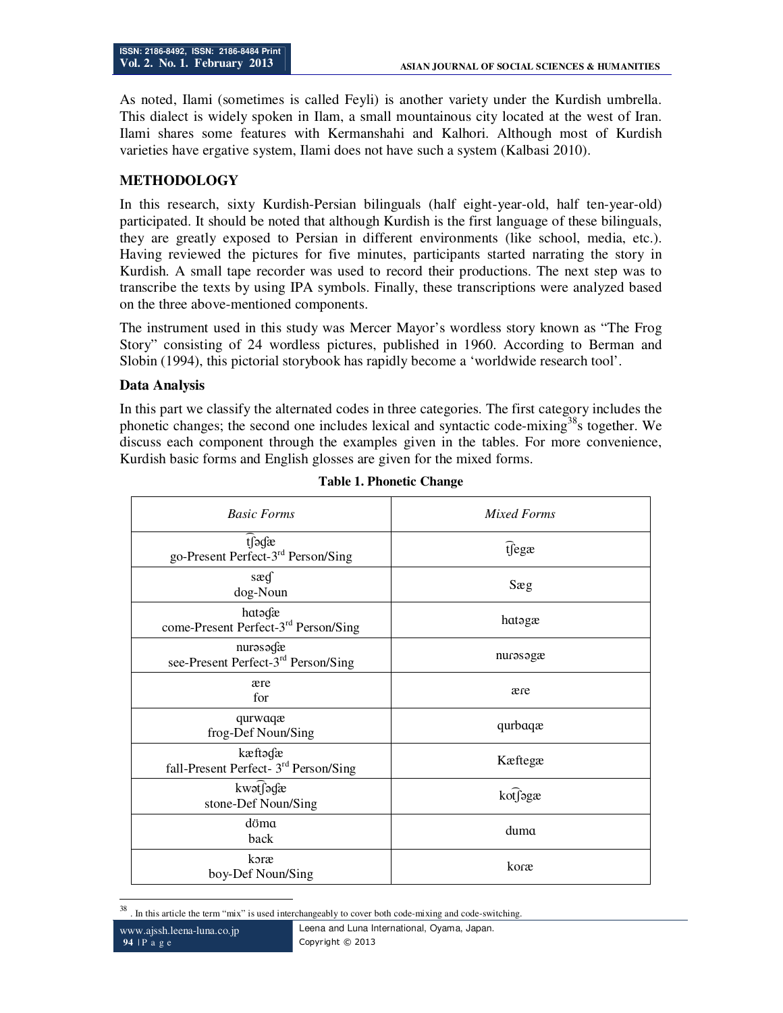As noted, Ilami (sometimes is called Feyli) is another variety under the Kurdish umbrella. This dialect is widely spoken in Ilam, a small mountainous city located at the west of Iran. Ilami shares some features with Kermanshahi and Kalhori. Although most of Kurdish varieties have ergative system, Ilami does not have such a system (Kalbasi 2010).

## **METHODOLOGY**

In this research, sixty Kurdish-Persian bilinguals (half eight-year-old, half ten-year-old) participated. It should be noted that although Kurdish is the first language of these bilinguals, they are greatly exposed to Persian in different environments (like school, media, etc.). Having reviewed the pictures for five minutes, participants started narrating the story in Kurdish. A small tape recorder was used to record their productions. The next step was to transcribe the texts by using IPA symbols. Finally, these transcriptions were analyzed based on the three above-mentioned components.

The instrument used in this study was Mercer Mayor's wordless story known as "The Frog Story" consisting of 24 wordless pictures, published in 1960. According to Berman and Slobin (1994), this pictorial storybook has rapidly become a 'worldwide research tool'.

### **Data Analysis**

In this part we classify the alternated codes in three categories. The first category includes the phonetic changes; the second one includes lexical and syntactic code-mixing<sup>38</sup>s together. We discuss each component through the examples given in the tables. For more convenience, Kurdish basic forms and English glosses are given for the mixed forms.

| <b>Basic Forms</b>                                           | Mixed Forms |
|--------------------------------------------------------------|-------------|
| tfədæ<br>go-Present Perfect-3 <sup>rd</sup> Person/Sing      | ifegæ       |
| sæg<br>dog-Noun                                              | Sæg         |
| hatagæ<br>come-Present Perfect-3 <sup>rd</sup> Person/Sing   | hatagæ      |
| nurəsədæ<br>see-Present Perfect-3 <sup>rd</sup> Person/Sing  | nurəsəgæ    |
| ære<br>for                                                   | ære         |
| qurwaqæ<br>frog-Def Noun/Sing                                | qurbaqæ     |
| kæftədæ<br>fall-Present Perfect- 3 <sup>rd</sup> Person/Sing | Kæftegæ     |
| kwət∫ədæ<br>stone-Def Noun/Sing                              | kotfagæ     |
| döma<br>back                                                 | duma        |
| koræ<br>boy-Def Noun/Sing                                    | koræ        |

**Table 1. Phonetic Change** 

<sup>38</sup> . In this article the term "mix" is used interchangeably to cover both code-mixing and code-switching.

www.ajssh.leena-luna.co.jp **94** | P a g e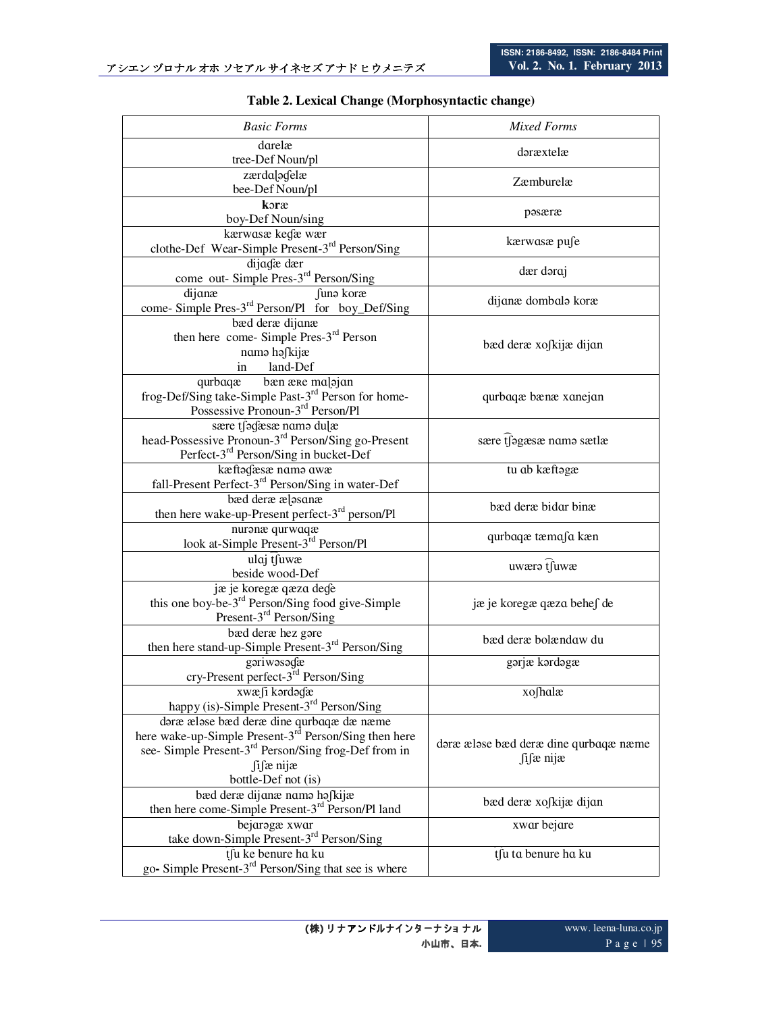| <b>Basic Forms</b>                                                                                                                         | <b>Mixed Forms</b>                    |
|--------------------------------------------------------------------------------------------------------------------------------------------|---------------------------------------|
| darelæ                                                                                                                                     | dəræxtelæ                             |
| tree-Def Noun/pl                                                                                                                           |                                       |
| zærdalogelæ                                                                                                                                | Zæmburelæ                             |
| bee-Def Noun/pl                                                                                                                            |                                       |
| koræ<br>boy-Def Noun/sing                                                                                                                  | pasæræ                                |
| kærwasæ kedæ wær                                                                                                                           |                                       |
| clothe-Def Wear-Simple Present-3 <sup>rd</sup> Person/Sing                                                                                 | kærwasæ pufe                          |
| dijadæ dær                                                                                                                                 |                                       |
| come out- Simple Pres-3 <sup>rd</sup> Person/Sing                                                                                          | dær doraj                             |
| dijanæ<br>funa koræ                                                                                                                        | dijanæ dombala koræ                   |
| come- Simple Pres-3 <sup>rd</sup> Person/Pl for boy_Def/Sing                                                                               |                                       |
| bæd deræ dijanæ                                                                                                                            |                                       |
| then here come- Simple Pres-3 <sup>rd</sup> Person                                                                                         | bæd deræ xofkijæ dijan                |
| nama hafkijæ                                                                                                                               |                                       |
| land-Def<br>in                                                                                                                             |                                       |
|                                                                                                                                            |                                       |
| qurbaqæ bæn ære malajan<br>frog-Def/Sing take-Simple Past-3 <sup>rd</sup> Person for home-<br>Possessive Pronoun-3 <sup>rd</sup> Person/Pl | qurbaqæ bænæ xanejan                  |
|                                                                                                                                            |                                       |
| sære tjegæsæ name dulæ<br>head-Possessive Pronoun-3 <sup>rd</sup> Person/Sing go-Present                                                   | sære tjegæsæ name sætlæ               |
| Perfect-3 <sup>rd</sup> Person/Sing in bucket-Def                                                                                          |                                       |
| kæftodæsæ namo awæ                                                                                                                         | tu ab kæftagæ                         |
| fall-Present Perfect-3 <sup>rd</sup> Person/Sing in water-Def                                                                              |                                       |
| bæd deræ ælasanæ                                                                                                                           |                                       |
| then here wake-up-Present perfect-3 <sup>rd</sup> person/Pl                                                                                | bæd deræ bidar binæ                   |
| nuranæ qurwaqæ                                                                                                                             |                                       |
| look at-Simple Present-3 <sup>rd</sup> Person/Pl                                                                                           | qurbaqæ tæmafa kæn                    |
| ulaj tsuwa                                                                                                                                 |                                       |
| beside wood-Def                                                                                                                            | uwæra tsuwæ                           |
| jæ je koregæ qæza dege                                                                                                                     |                                       |
| this one boy-be- $3^{\text{rd}}$ Person/Sing food give-Simple<br>Present- $3^{\text{rd}}$ Person/Sing                                      | jæ je koregæ qæza behe∫ de            |
|                                                                                                                                            |                                       |
| bæd deræ hez gare                                                                                                                          | bæd deræ bolændaw du                  |
| then here stand-up-Simple Present-3 <sup>rd</sup> Person/Sing                                                                              |                                       |
| gariwasadæ                                                                                                                                 | gərjæ kərdəgæ                         |
| cry-Present perfect-3 <sup>rd</sup> Person/Sing                                                                                            |                                       |
| xwæ∫i kordoɗæ                                                                                                                              | xo∫halæ                               |
| happy (is)-Simple Present-3 <sup>rd</sup> Person/Sing                                                                                      |                                       |
| daræ ælase bæd deræ dine qurbaqæ dæ næme                                                                                                   |                                       |
| here wake-up-Simple Present-3 <sup>rd</sup> Person/Sing then here                                                                          | dəræ æləse bæd deræ dine qurbaqæ næme |
| see- Simple Present-3 <sup>rd</sup> Person/Sing frog-Def from in                                                                           | $\int$ i $\int$ æ nijæ                |
| fifæ nijæ<br>bottle-Def not (is)                                                                                                           |                                       |
| bæd deræ dijanæ nama hafkijæ                                                                                                               |                                       |
| then here come-Simple Present-3 <sup>rd</sup> Person/Pl land                                                                               | bæd deræ xofkijæ dijan                |
| bejarogæ xwar                                                                                                                              | xwar bejare                           |
| take down-Simple Present-3 <sup>rd</sup> Person/Sing                                                                                       |                                       |
| tfu ke benure ha ku                                                                                                                        | tsu ta benure ha ku                   |
| go- Simple Present-3 <sup>rd</sup> Person/Sing that see is where                                                                           |                                       |

**Table 2. Lexical Change (Morphosyntactic change)**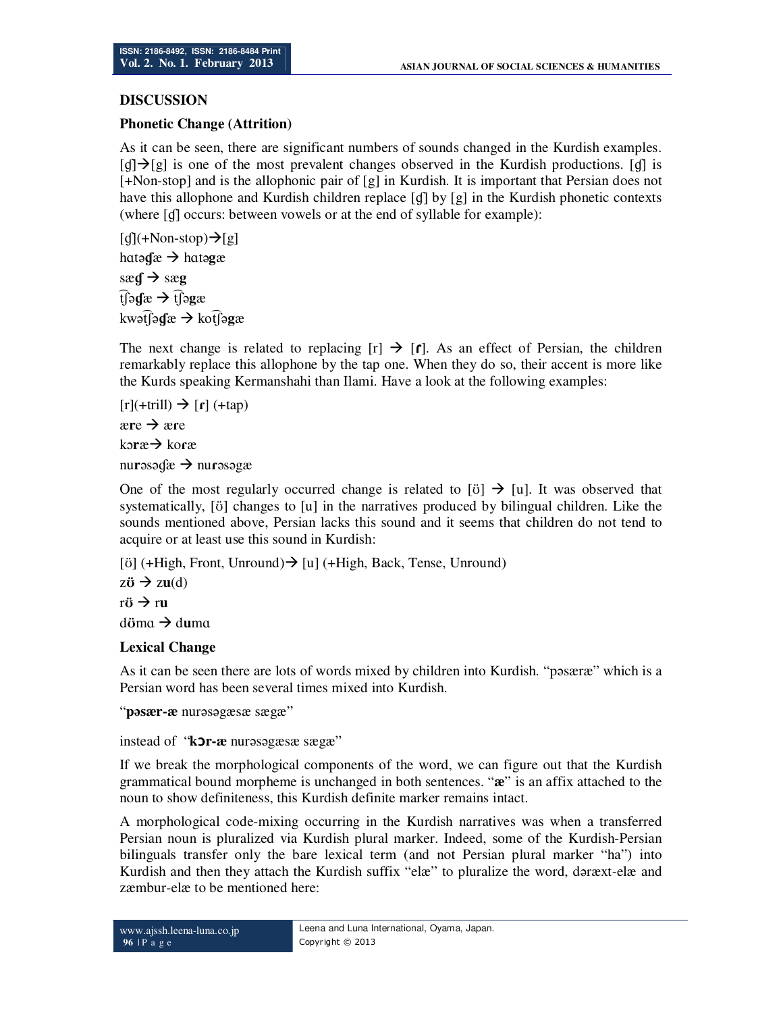## **DISCUSSION**

### **Phonetic Change (Attrition)**

As it can be seen, there are significant numbers of sounds changed in the Kurdish examples.  $\lceil$  $\mathbf{d}\rceil$  $\rightarrow$  [**g**] is one of the most prevalent changes observed in the Kurdish productions. [**d**] is [+Non-stop] and is the allophonic pair of [g] in Kurdish. It is important that Persian does not have this allophone and Kurdish children replace [q] by [g] in the Kurdish phonetic contexts (where [ɠ] occurs: between vowels or at the end of syllable for example):

 $\lceil \frac{d}{\pm Non\text{-stop}} \rightarrow \lceil g \rceil$ hɑtə**ɠ**æ hɑtə**g**æ  $\text{seq} \rightarrow \text{seq}$ ͡tʃə**ɠ**æ ͡tʃə**g**æ kwət͡ʃə**ɠ**æ kot͡ʃə**g**æ

The next change is related to replacing  $[r] \rightarrow [r]$ . As an effect of Persian, the children remarkably replace this allophone by the tap one. When they do so, their accent is more like the Kurds speaking Kermanshahi than Ilami. Have a look at the following examples:

```
[r](+trill) \rightarrow [r] (+tap)
```
 $\angle$  **ære** 

ko**r**æ → koræ

nu**r**əsəɠæ nu**ɾ**əsəgæ

One of the most regularly occurred change is related to [ $\ddot{o}$ ]  $\rightarrow$  [u]. It was observed that systematically, [ʊ̈] changes to [u] in the narratives produced by bilingual children. Like the sounds mentioned above, Persian lacks this sound and it seems that children do not tend to acquire or at least use this sound in Kurdish:

[ $\ddot{\text{o}}$ ] (+High, Front, Unround)  $\rightarrow$  [u] (+High, Back, Tense, Unround)  $z\ddot{\mathbf{v}} \rightarrow zu(d)$  $r\ddot{\sigma} \rightarrow r\mathbf{u}$ d**ö**ma → d**u**ma

# **Lexical Change**

As it can be seen there are lots of words mixed by children into Kurdish. "pəsæræ" which is a Persian word has been several times mixed into Kurdish.

"**pəsær-æ** nurəsəgæsæ sægæ"

instead of "**kor-æ** nurəsəgæsæ sægæ"

If we break the morphological components of the word, we can figure out that the Kurdish grammatical bound morpheme is unchanged in both sentences. "**æ**" is an affix attached to the noun to show definiteness, this Kurdish definite marker remains intact.

A morphological code-mixing occurring in the Kurdish narratives was when a transferred Persian noun is pluralized via Kurdish plural marker. Indeed, some of the Kurdish-Persian bilinguals transfer only the bare lexical term (and not Persian plural marker "ha") into Kurdish and then they attach the Kurdish suffix "elæ" to pluralize the word, dəræxt-elæ and zæmbur-elæ to be mentioned here: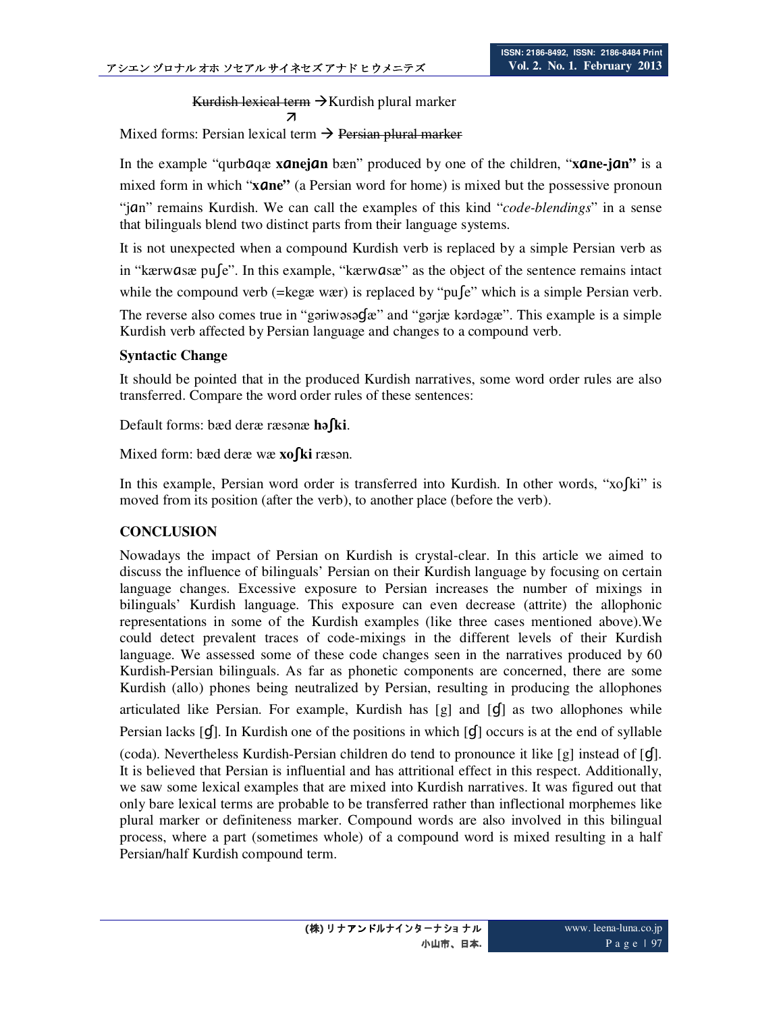Kurdish lexical term  $\rightarrow$  Kurdish plural marker  $\overline{z}$ 

Mixed forms: Persian lexical term  $\rightarrow$  Persian plural marker

In the example "qurbǡqæ **x**ǡ**nej**ǡ**n** bæn" produced by one of the children, "**x**ǡ**ne-j**ǡ**n"** is a mixed form in which "**xane**" (a Persian word for home) is mixed but the possessive pronoun "jǡn" remains Kurdish. We can call the examples of this kind "*code-blendings*" in a sense that bilinguals blend two distinct parts from their language systems.

It is not unexpected when a compound Kurdish verb is replaced by a simple Persian verb as in "kærwasæ pu∫e". In this example, "kærwasæ" as the object of the sentence remains intact while the compound verb (=kegæ wær) is replaced by "pu $\int e^x$  which is a simple Persian verb. The reverse also comes true in "gəriwəsə**G**æ" and "gərjæ kərdəgæ". This example is a simple Kurdish verb affected by Persian language and changes to a compound verb.

## **Syntactic Change**

It should be pointed that in the produced Kurdish narratives, some word order rules are also transferred. Compare the word order rules of these sentences:

Default forms: bæd deræ ræsənæ **hə**ȓ**ki**.

Mixed form: bæd deræ wæ **xofki** ræsən.

In this example, Persian word order is transferred into Kurdish. In other words, "xo [ki" is moved from its position (after the verb), to another place (before the verb).

# **CONCLUSION**

Nowadays the impact of Persian on Kurdish is crystal-clear. In this article we aimed to discuss the influence of bilinguals' Persian on their Kurdish language by focusing on certain language changes. Excessive exposure to Persian increases the number of mixings in bilinguals' Kurdish language. This exposure can even decrease (attrite) the allophonic representations in some of the Kurdish examples (like three cases mentioned above).We could detect prevalent traces of code-mixings in the different levels of their Kurdish language. We assessed some of these code changes seen in the narratives produced by 60 Kurdish-Persian bilinguals. As far as phonetic components are concerned, there are some Kurdish (allo) phones being neutralized by Persian, resulting in producing the allophones articulated like Persian. For example, Kurdish has  $[g]$  and  $[g]$  as two allophones while Persian lacks  $[g]$ . In Kurdish one of the positions in which  $[g]$  occurs is at the end of syllable (coda). Nevertheless Kurdish-Persian children do tend to pronounce it like  $[g]$  instead of  $[g]$ . It is believed that Persian is influential and has attritional effect in this respect. Additionally, we saw some lexical examples that are mixed into Kurdish narratives. It was figured out that only bare lexical terms are probable to be transferred rather than inflectional morphemes like plural marker or definiteness marker. Compound words are also involved in this bilingual process, where a part (sometimes whole) of a compound word is mixed resulting in a half Persian/half Kurdish compound term.